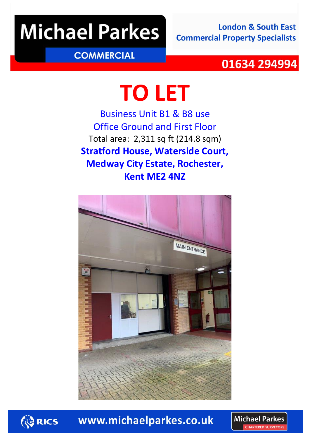# **Michael Parkes**

**London & South East Commercial Property Specialists** 

### **COMMERCIAL**

### 01634 294994

# **TO LET**

Business Unit B1 & B8 use Office Ground and First Floor Total area: 2,311 sq ft (214.8 sqm) **Stratford House, Waterside Court, Medway City Estate, Rochester, Kent ME2 4NZ**





www.michaelparkes.co.uk

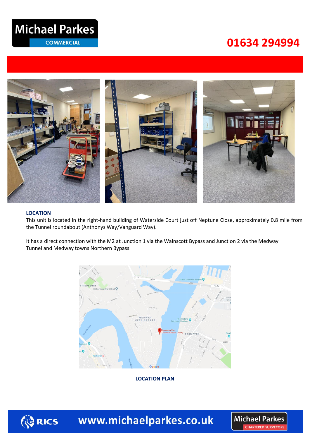## **Michael Parkes**

**COMMERCIAL** 

## **034 29499401634 294994**



#### **LOCATION**

This unit is located in the right-hand building of Waterside Court just off Neptune Close, approximately 0.8 mile from the Tunnel roundabout (Anthonys Way/Vanguard Way).

It has a direct connection with the M2 at Junction 1 via the Wainscott Bypass and Junction 2 via the Medway Tunnel and Medway towns Northern Bypass.



**LOCATION PLAN**



www.michaelparkes.co.uk

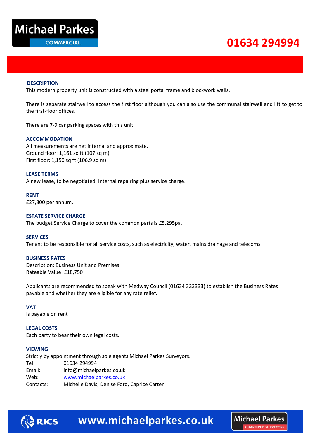

## **034 29499401634 294994**

**Michael Parkes** CHAPTERED SHIPVEYORS

#### **DESCRIPTION**

This modern property unit is constructed with a steel portal frame and blockwork walls.

There is separate stairwell to access the first floor although you can also use the communal stairwell and lift to get to the first-floor offices.

There are 7-9 car parking spaces with this unit.

#### **ACCOMMODATION**

All measurements are net internal and approximate. Ground floor: 1,161 sq ft (107 sq m) First floor: 1,150 sq ft (106.9 sq m)

#### **LEASE TERMS**

A new lease, to be negotiated. Internal repairing plus service charge.

**RENT** £27,300 per annum.

#### **ESTATE SERVICE CHARGE**

The budget Service Charge to cover the common parts is £5,295pa.

#### **SERVICES**

Tenant to be responsible for all service costs, such as electricity, water, mains drainage and telecoms.

#### **BUSINESS RATES**

Description: Business Unit and Premises Rateable Value: £18,750

Applicants are recommended to speak with Medway Council (01634 333333) to establish the Business Rates payable and whether they are eligible for any rate relief.

#### **VAT**

Is payable on rent

#### **LEGAL COSTS**

Each party to bear their own legal costs.

#### **VIEWING**

Strictly by appointment through sole agents Michael Parkes Surveyors. Tel: 01634 294994 Email: info@michaelparkes.co.uk Web: [www.michaelparkes.co.uk](http://www.michaelparkes.co.uk/) Contacts: Michelle Davis, Denise Ford, Caprice Carter



ि RICS www.michaelparkes.co.uk